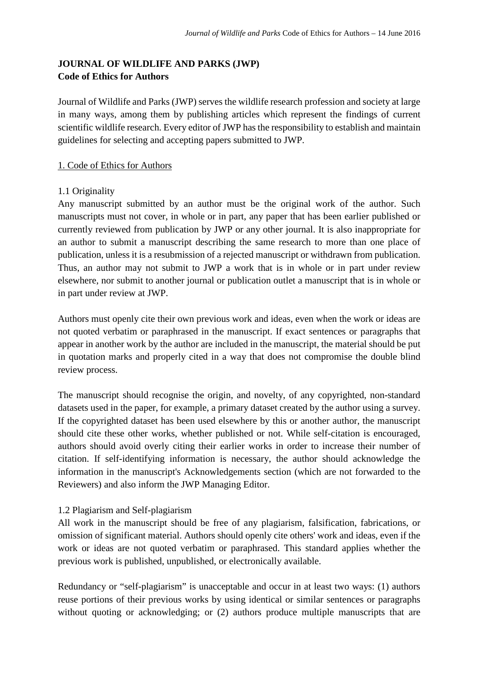# **JOURNAL OF WILDLIFE AND PARKS (JWP) Code of Ethics for Authors**

Journal of Wildlife and Parks (JWP) serves the wildlife research profession and society at large in many ways, among them by publishing articles which represent the findings of current scientific wildlife research. Every editor of JWP has the responsibility to establish and maintain guidelines for selecting and accepting papers submitted to JWP.

### 1. Code of Ethics for Authors

#### 1.1 Originality

Any manuscript submitted by an author must be the original work of the author. Such manuscripts must not cover, in whole or in part, any paper that has been earlier published or currently reviewed from publication by JWP or any other journal. It is also inappropriate for an author to submit a manuscript describing the same research to more than one place of publication, unless it is a resubmission of a rejected manuscript or withdrawn from publication. Thus, an author may not submit to JWP a work that is in whole or in part under review elsewhere, nor submit to another journal or publication outlet a manuscript that is in whole or in part under review at JWP.

Authors must openly cite their own previous work and ideas, even when the work or ideas are not quoted verbatim or paraphrased in the manuscript. If exact sentences or paragraphs that appear in another work by the author are included in the manuscript, the material should be put in quotation marks and properly cited in a way that does not compromise the double blind review process.

The manuscript should recognise the origin, and novelty, of any copyrighted, non-standard datasets used in the paper, for example, a primary dataset created by the author using a survey. If the copyrighted dataset has been used elsewhere by this or another author, the manuscript should cite these other works, whether published or not. While self-citation is encouraged, authors should avoid overly citing their earlier works in order to increase their number of citation. If self-identifying information is necessary, the author should acknowledge the information in the manuscript's Acknowledgements section (which are not forwarded to the Reviewers) and also inform the JWP Managing Editor.

### 1.2 Plagiarism and Self-plagiarism

All work in the manuscript should be free of any plagiarism, falsification, fabrications, or omission of significant material. Authors should openly cite others' work and ideas, even if the work or ideas are not quoted verbatim or paraphrased. This standard applies whether the previous work is published, unpublished, or electronically available.

Redundancy or "self-plagiarism" is unacceptable and occur in at least two ways: (1) authors reuse portions of their previous works by using identical or similar sentences or paragraphs without quoting or acknowledging; or  $(2)$  authors produce multiple manuscripts that are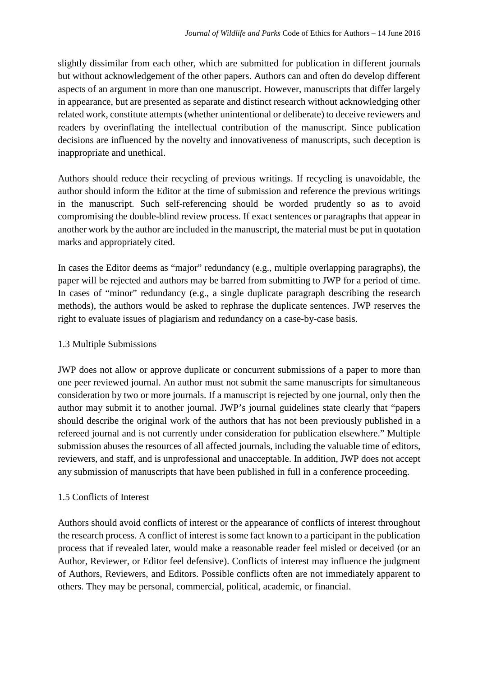slightly dissimilar from each other, which are submitted for publication in different journals but without acknowledgement of the other papers. Authors can and often do develop different aspects of an argument in more than one manuscript. However, manuscripts that differ largely in appearance, but are presented as separate and distinct research without acknowledging other related work, constitute attempts (whether unintentional or deliberate) to deceive reviewers and readers by overinflating the intellectual contribution of the manuscript. Since publication decisions are influenced by the novelty and innovativeness of manuscripts, such deception is inappropriate and unethical.

Authors should reduce their recycling of previous writings. If recycling is unavoidable, the author should inform the Editor at the time of submission and reference the previous writings in the manuscript. Such self-referencing should be worded prudently so as to avoid compromising the double-blind review process. If exact sentences or paragraphs that appear in another work by the author are included in the manuscript, the material must be put in quotation marks and appropriately cited.

In cases the Editor deems as "major" redundancy (e.g., multiple overlapping paragraphs), the paper will be rejected and authors may be barred from submitting to JWP for a period of time. In cases of "minor" redundancy (e.g., a single duplicate paragraph describing the research methods), the authors would be asked to rephrase the duplicate sentences. JWP reserves the right to evaluate issues of plagiarism and redundancy on a case-by-case basis.

#### 1.3 Multiple Submissions

JWP does not allow or approve duplicate or concurrent submissions of a paper to more than one peer reviewed journal. An author must not submit the same manuscripts for simultaneous consideration by two or more journals. If a manuscript is rejected by one journal, only then the author may submit it to another journal. JWP's journal guidelines state clearly that "papers should describe the original work of the authors that has not been previously published in a refereed journal and is not currently under consideration for publication elsewhere." Multiple submission abuses the resources of all affected journals, including the valuable time of editors, reviewers, and staff, and is unprofessional and unacceptable. In addition, JWP does not accept any submission of manuscripts that have been published in full in a conference proceeding.

### 1.5 Conflicts of Interest

Authors should avoid conflicts of interest or the appearance of conflicts of interest throughout the research process. A conflict of interest is some fact known to a participant in the publication process that if revealed later, would make a reasonable reader feel misled or deceived (or an Author, Reviewer, or Editor feel defensive). Conflicts of interest may influence the judgment of Authors, Reviewers, and Editors. Possible conflicts often are not immediately apparent to others. They may be personal, commercial, political, academic, or financial.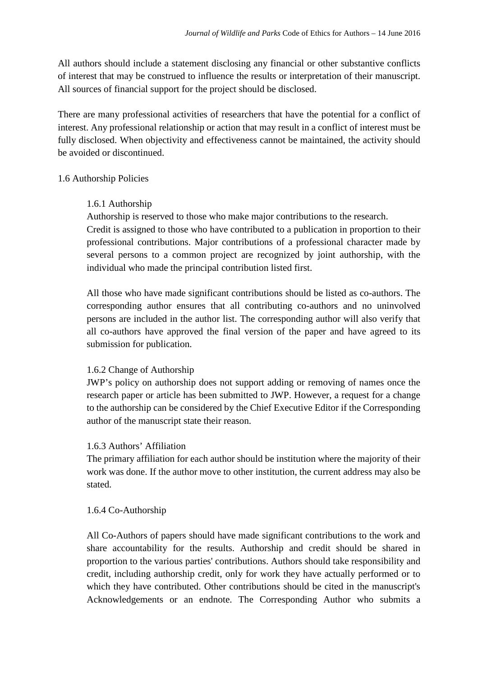All authors should include a statement disclosing any financial or other substantive conflicts of interest that may be construed to influence the results or interpretation of their manuscript. All sources of financial support for the project should be disclosed.

There are many professional activities of researchers that have the potential for a conflict of interest. Any professional relationship or action that may result in a conflict of interest must be fully disclosed. When objectivity and effectiveness cannot be maintained, the activity should be avoided or discontinued.

#### 1.6 Authorship Policies

#### 1.6.1 Authorship

Authorship is reserved to those who make major contributions to the research.

Credit is assigned to those who have contributed to a publication in proportion to their professional contributions. Major contributions of a professional character made by several persons to a common project are recognized by joint authorship, with the individual who made the principal contribution listed first.

All those who have made significant contributions should be listed as co-authors. The corresponding author ensures that all contributing co-authors and no uninvolved persons are included in the author list. The corresponding author will also verify that all co-authors have approved the final version of the paper and have agreed to its submission for publication.

#### 1.6.2 Change of Authorship

JWP's policy on authorship does not support adding or removing of names once the research paper or article has been submitted to JWP. However, a request for a change to the authorship can be considered by the Chief Executive Editor if the Corresponding author of the manuscript state their reason.

#### 1.6.3 Authors' Affiliation

The primary affiliation for each author should be institution where the majority of their work was done. If the author move to other institution, the current address may also be stated.

#### 1.6.4 Co-Authorship

All Co-Authors of papers should have made significant contributions to the work and share accountability for the results. Authorship and credit should be shared in proportion to the various parties' contributions. Authors should take responsibility and credit, including authorship credit, only for work they have actually performed or to which they have contributed. Other contributions should be cited in the manuscript's Acknowledgements or an endnote. The Corresponding Author who submits a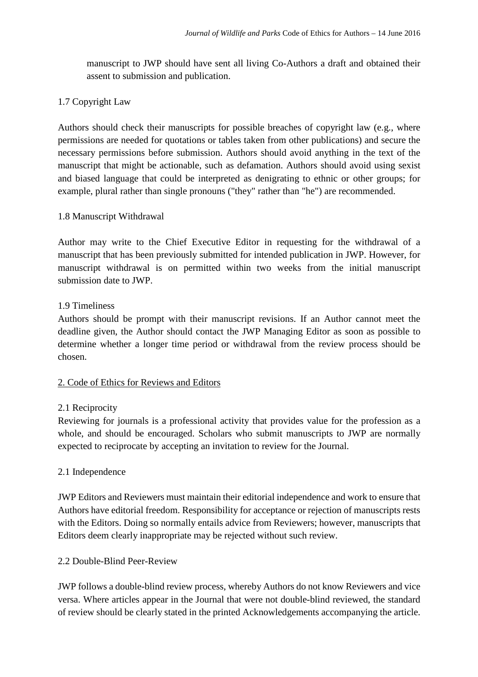manuscript to JWP should have sent all living Co-Authors a draft and obtained their assent to submission and publication.

# 1.7 Copyright Law

Authors should check their manuscripts for possible breaches of copyright law (e.g., where permissions are needed for quotations or tables taken from other publications) and secure the necessary permissions before submission. Authors should avoid anything in the text of the manuscript that might be actionable, such as defamation. Authors should avoid using sexist and biased language that could be interpreted as denigrating to ethnic or other groups; for example, plural rather than single pronouns ("they" rather than "he") are recommended.

### 1.8 Manuscript Withdrawal

Author may write to the Chief Executive Editor in requesting for the withdrawal of a manuscript that has been previously submitted for intended publication in JWP. However, for manuscript withdrawal is on permitted within two weeks from the initial manuscript submission date to JWP.

### 1.9 Timeliness

Authors should be prompt with their manuscript revisions. If an Author cannot meet the deadline given, the Author should contact the JWP Managing Editor as soon as possible to determine whether a longer time period or withdrawal from the review process should be chosen.

### 2. Code of Ethics for Reviews and Editors

### 2.1 Reciprocity

Reviewing for journals is a professional activity that provides value for the profession as a whole, and should be encouraged. Scholars who submit manuscripts to JWP are normally expected to reciprocate by accepting an invitation to review for the Journal.

### 2.1 Independence

JWP Editors and Reviewers must maintain their editorial independence and work to ensure that Authors have editorial freedom. Responsibility for acceptance or rejection of manuscripts rests with the Editors. Doing so normally entails advice from Reviewers; however, manuscripts that Editors deem clearly inappropriate may be rejected without such review.

### 2.2 Double-Blind Peer-Review

JWP follows a double-blind review process, whereby Authors do not know Reviewers and vice versa. Where articles appear in the Journal that were not double-blind reviewed, the standard of review should be clearly stated in the printed Acknowledgements accompanying the article.